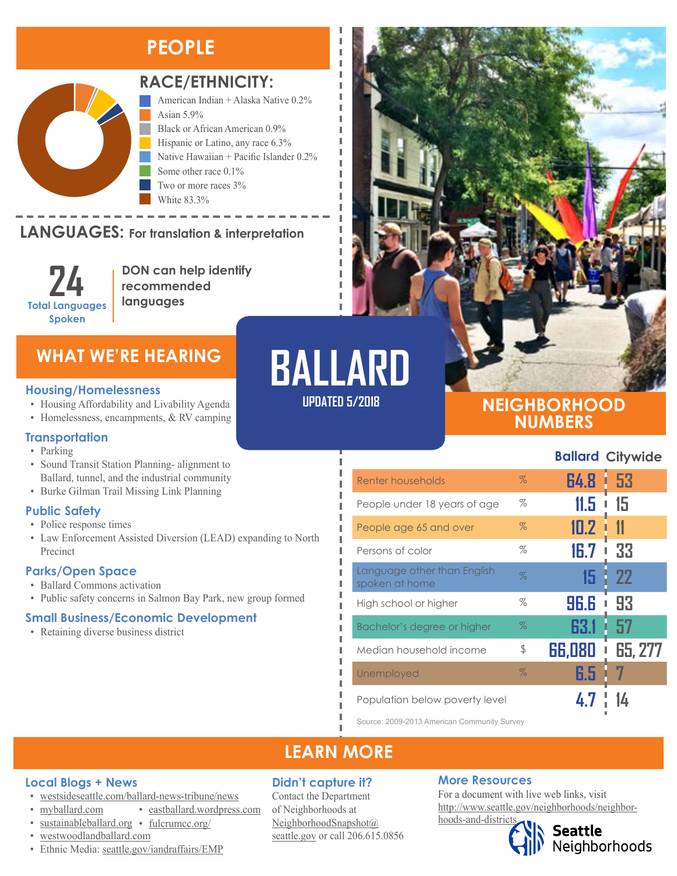# **PEOPLE**



### **RACE/ETHNICITY:**

American Indian + Alaska Native 0.2% Asian 5.9% Black or African American 0.9% Hispanic or Latino, any race 6.3% Native Hawaiian + Pacific Islander 0.2% Some other race 0.1% Two or more races 3% White 83.3%

### **LANGUAGES:** For translation & interpretation

**24 Total Languages Spoken**

**DON can help identify recommended languages**

### **Housing/Homelessness**

- Housing Affordability and Livability Agenda
- Homelessness, encampments, & RV camping

### **Transportation**

- Parking
- Sound Transit Station Planning- alignment to Ballard, tunnel, and the industrial community
- Burke Gilman Trail Missing Link Planning

### **Public Safety**

- Police response times
- Law Enforcement Assisted Diversion (LEAD) expanding to North Precinct

### **Parks/Open Space**

- Ballard Commons activation
- Public safety concerns in Salmon Bay Park, new group formed

### **Small Business/Economic Development**

• Retaining diverse business district

# WHAT WE'RE HEARING **BALLARD**

л л

п л I I

л л

**UPDATED 5/2018**

### **NEIGHBORHOOD NUMBERS**

**Ballard Citywide**

| Renter households                             | $\%$ | 64.8   | i 53         |
|-----------------------------------------------|------|--------|--------------|
| People under 18 years of age                  | $\%$ | 11.5   | 15           |
| People age 65 and over                        | $\%$ | 10.2   | 11           |
| Persons of color                              | $\%$ | 16.7   | 33<br>I      |
| Language other than English<br>spoken at home | $\%$ | 15     | 22           |
| High school or higher                         | %    | 96.6   | 93           |
| Bachelor's degree or higher                   | $\%$ | 63.1   | 57           |
| Median household income                       | \$   | 66,080 | 65, 277<br>I |
| Unemployed                                    | $\%$ | 6.5    |              |
| Population below poverty level                |      |        |              |

Source: 2009-2013 American Community Survey

### **LEARN MORE**

### **Local Blogs + News**

- [westsideseattle.com/ballard-news-tribune/news](https://www.westsideseattle.com/ballard-news-tribune/news)
- [myballard.com](http://www.myballard.com/) • [eastballard.wordpress.com](https://eastballard.wordpress.com/)
- [sustainableballard.org](http://www.sustainableballard.org/) [fulcrumcc.org/](http://fulcrumcc.org/)
- [westwoodlandballard.com](https://westwoodlandballard.com/)
- Ethnic Media: [seattle.gov/iandraffairs/EMP](http://www.seattle.gov/iandraffairs/EMP)

### **Didn't capture it?**

Contact the Department of Neighborhoods at [NeighborhoodSnapshot@](mailto:NeighborhoodSnapshot%40%0Aseattle.gov?subject=) [seattle.gov](mailto:NeighborhoodSnapshot%40%0Aseattle.gov?subject=) or call 206.615.0856

### **More Resources**

For a document with live web links, visit [http://www.seattle.gov/neighborhoods/neighbor](http://www.seattle.gov/neighborhoods/neighborhoods-and-districts)[hoods-and-districts](http://www.seattle.gov/neighborhoods/neighborhoods-and-districts)



**Seattle**<br>Neighborhoods